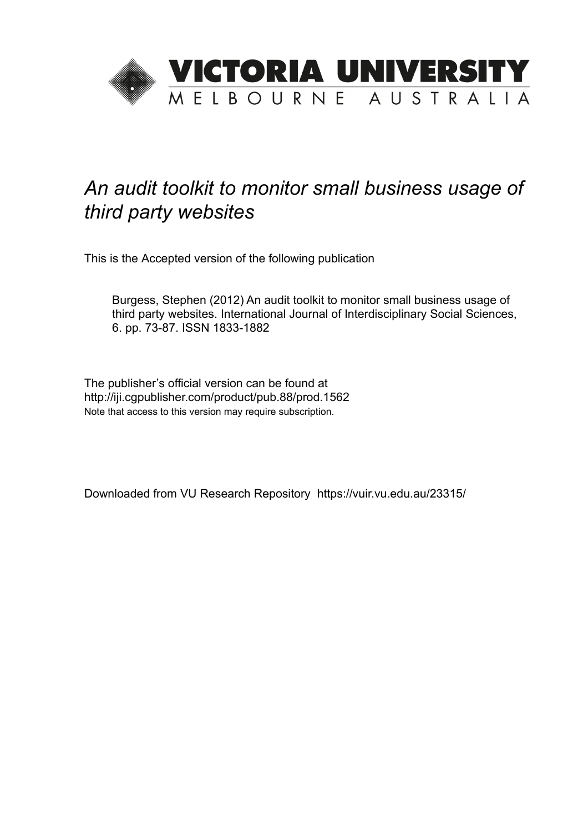

# *An audit toolkit to monitor small business usage of third party websites*

This is the Accepted version of the following publication

Burgess, Stephen (2012) An audit toolkit to monitor small business usage of third party websites. International Journal of Interdisciplinary Social Sciences, 6. pp. 73-87. ISSN 1833-1882

The publisher's official version can be found at http://iji.cgpublisher.com/product/pub.88/prod.1562 Note that access to this version may require subscription.

Downloaded from VU Research Repository https://vuir.vu.edu.au/23315/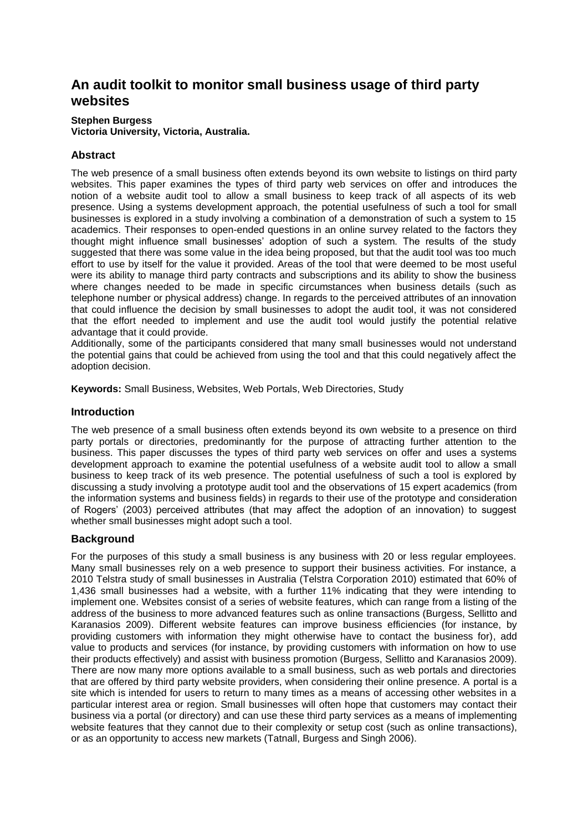# **An audit toolkit to monitor small business usage of third party websites**

#### **Stephen Burgess**

**Victoria University, Victoria, Australia.**

# **Abstract**

The web presence of a small business often extends beyond its own website to listings on third party websites. This paper examines the types of third party web services on offer and introduces the notion of a website audit tool to allow a small business to keep track of all aspects of its web presence. Using a systems development approach, the potential usefulness of such a tool for small businesses is explored in a study involving a combination of a demonstration of such a system to 15 academics. Their responses to open-ended questions in an online survey related to the factors they thought might influence small businesses' adoption of such a system. The results of the study suggested that there was some value in the idea being proposed, but that the audit tool was too much effort to use by itself for the value it provided. Areas of the tool that were deemed to be most useful were its ability to manage third party contracts and subscriptions and its ability to show the business where changes needed to be made in specific circumstances when business details (such as telephone number or physical address) change. In regards to the perceived attributes of an innovation that could influence the decision by small businesses to adopt the audit tool, it was not considered that the effort needed to implement and use the audit tool would justify the potential relative advantage that it could provide.

Additionally, some of the participants considered that many small businesses would not understand the potential gains that could be achieved from using the tool and that this could negatively affect the adoption decision.

**Keywords:** Small Business, Websites, Web Portals, Web Directories, Study

# **Introduction**

The web presence of a small business often extends beyond its own website to a presence on third party portals or directories, predominantly for the purpose of attracting further attention to the business. This paper discusses the types of third party web services on offer and uses a systems development approach to examine the potential usefulness of a website audit tool to allow a small business to keep track of its web presence. The potential usefulness of such a tool is explored by discussing a study involving a prototype audit tool and the observations of 15 expert academics (from the information systems and business fields) in regards to their use of the prototype and consideration of Rogers' (2003) perceived attributes (that may affect the adoption of an innovation) to suggest whether small businesses might adopt such a tool.

# **Background**

For the purposes of this study a small business is any business with 20 or less regular employees. Many small businesses rely on a web presence to support their business activities. For instance, a 2010 Telstra study of small businesses in Australia (Telstra Corporation 2010) estimated that 60% of 1,436 small businesses had a website, with a further 11% indicating that they were intending to implement one. Websites consist of a series of website features, which can range from a listing of the address of the business to more advanced features such as online transactions (Burgess, Sellitto and Karanasios 2009). Different website features can improve business efficiencies (for instance, by providing customers with information they might otherwise have to contact the business for), add value to products and services (for instance, by providing customers with information on how to use their products effectively) and assist with business promotion (Burgess, Sellitto and Karanasios 2009). There are now many more options available to a small business, such as web portals and directories that are offered by third party website providers, when considering their online presence. A portal is a site which is intended for users to return to many times as a means of accessing other websites in a particular interest area or region. Small businesses will often hope that customers may contact their business via a portal (or directory) and can use these third party services as a means of implementing website features that they cannot due to their complexity or setup cost (such as online transactions), or as an opportunity to access new markets (Tatnall, Burgess and Singh 2006).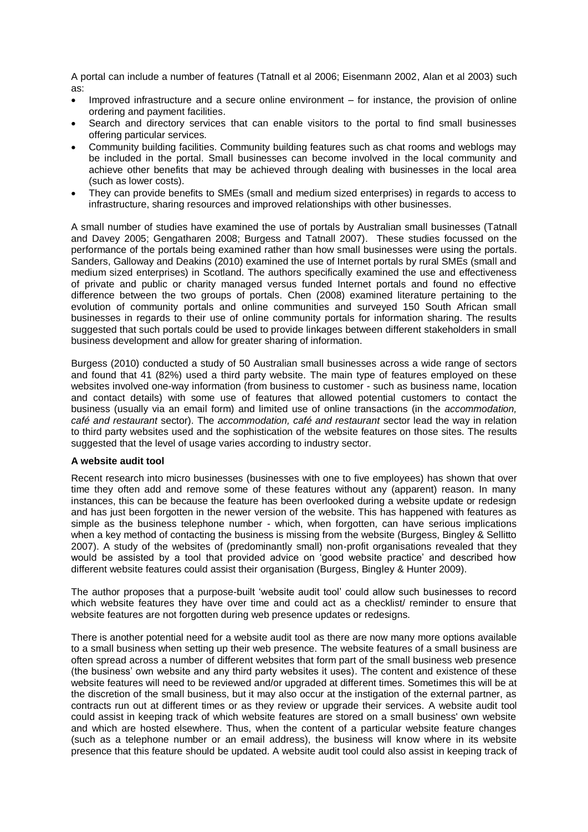A portal can include a number of features (Tatnall et al 2006; Eisenmann 2002, Alan et al 2003) such as:

- Improved infrastructure and a secure online environment for instance, the provision of online ordering and payment facilities.
- Search and directory services that can enable visitors to the portal to find small businesses offering particular services.
- Community building facilities. Community building features such as chat rooms and weblogs may be included in the portal. Small businesses can become involved in the local community and achieve other benefits that may be achieved through dealing with businesses in the local area (such as lower costs).
- They can provide benefits to SMEs (small and medium sized enterprises) in regards to access to infrastructure, sharing resources and improved relationships with other businesses.

A small number of studies have examined the use of portals by Australian small businesses (Tatnall and Davey 2005; Gengatharen 2008; Burgess and Tatnall 2007). These studies focussed on the performance of the portals being examined rather than how small businesses were using the portals. Sanders, Galloway and Deakins (2010) examined the use of Internet portals by rural SMEs (small and medium sized enterprises) in Scotland. The authors specifically examined the use and effectiveness of private and public or charity managed versus funded Internet portals and found no effective difference between the two groups of portals. Chen (2008) examined literature pertaining to the evolution of community portals and online communities and surveyed 150 South African small businesses in regards to their use of online community portals for information sharing. The results suggested that such portals could be used to provide linkages between different stakeholders in small business development and allow for greater sharing of information.

Burgess (2010) conducted a study of 50 Australian small businesses across a wide range of sectors and found that 41 (82%) used a third party website. The main type of features employed on these websites involved one-way information (from business to customer - such as business name, location and contact details) with some use of features that allowed potential customers to contact the business (usually via an email form) and limited use of online transactions (in the *accommodation, café and restaurant* sector). The *accommodation, café and restaurant* sector lead the way in relation to third party websites used and the sophistication of the website features on those sites. The results suggested that the level of usage varies according to industry sector.

#### **A website audit tool**

Recent research into micro businesses (businesses with one to five employees) has shown that over time they often add and remove some of these features without any (apparent) reason. In many instances, this can be because the feature has been overlooked during a website update or redesign and has just been forgotten in the newer version of the website. This has happened with features as simple as the business telephone number - which, when forgotten, can have serious implications when a key method of contacting the business is missing from the website (Burgess, Bingley & Sellitto 2007). A study of the websites of (predominantly small) non-profit organisations revealed that they would be assisted by a tool that provided advice on 'good website practice' and described how different website features could assist their organisation (Burgess, Bingley & Hunter 2009).

The author proposes that a purpose-built 'website audit tool' could allow such businesses to record which website features they have over time and could act as a checklist/ reminder to ensure that website features are not forgotten during web presence updates or redesigns.

There is another potential need for a website audit tool as there are now many more options available to a small business when setting up their web presence. The website features of a small business are often spread across a number of different websites that form part of the small business web presence (the business' own website and any third party websites it uses). The content and existence of these website features will need to be reviewed and/or upgraded at different times. Sometimes this will be at the discretion of the small business, but it may also occur at the instigation of the external partner, as contracts run out at different times or as they review or upgrade their services. A website audit tool could assist in keeping track of which website features are stored on a small business' own website and which are hosted elsewhere. Thus, when the content of a particular website feature changes (such as a telephone number or an email address), the business will know where in its website presence that this feature should be updated. A website audit tool could also assist in keeping track of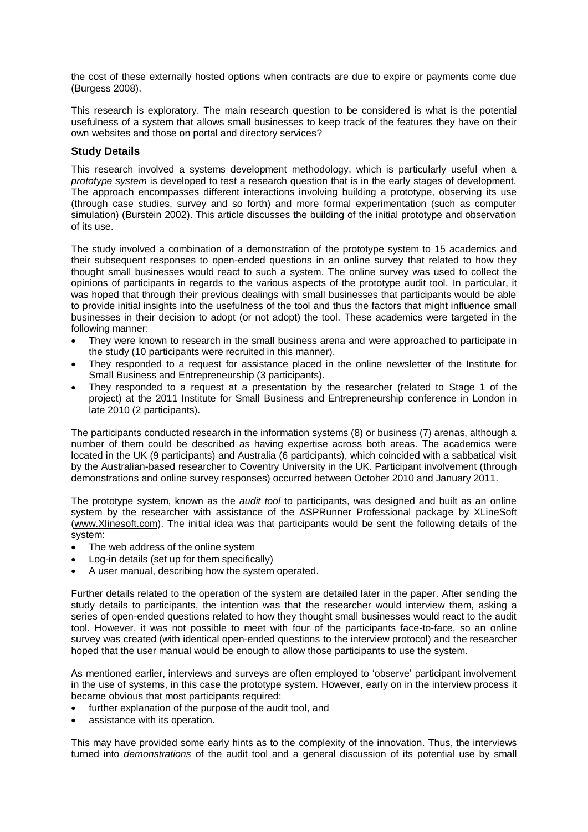the cost of these externally hosted options when contracts are due to expire or payments come due (Burgess 2008).

This research is exploratory. The main research question to be considered is what is the potential usefulness of a system that allows small businesses to keep track of the features they have on their own websites and those on portal and directory services?

# **Study Details**

This research involved a systems development methodology, which is particularly useful when a *prototype system* is developed to test a research question that is in the early stages of development. The approach encompasses different interactions involving building a prototype, observing its use (through case studies, survey and so forth) and more formal experimentation (such as computer simulation) (Burstein 2002). This article discusses the building of the initial prototype and observation of its use.

The study involved a combination of a demonstration of the prototype system to 15 academics and their subsequent responses to open-ended questions in an online survey that related to how they thought small businesses would react to such a system. The online survey was used to collect the opinions of participants in regards to the various aspects of the prototype audit tool. In particular, it was hoped that through their previous dealings with small businesses that participants would be able to provide initial insights into the usefulness of the tool and thus the factors that might influence small businesses in their decision to adopt (or not adopt) the tool. These academics were targeted in the following manner:

- They were known to research in the small business arena and were approached to participate in the study (10 participants were recruited in this manner).
- They responded to a request for assistance placed in the online newsletter of the Institute for Small Business and Entrepreneurship (3 participants).
- They responded to a request at a presentation by the researcher (related to Stage 1 of the project) at the 2011 Institute for Small Business and Entrepreneurship conference in London in late 2010 (2 participants).

The participants conducted research in the information systems (8) or business (7) arenas, although a number of them could be described as having expertise across both areas. The academics were located in the UK (9 participants) and Australia (6 participants), which coincided with a sabbatical visit by the Australian-based researcher to Coventry University in the UK. Participant involvement (through demonstrations and online survey responses) occurred between October 2010 and January 2011.

The prototype system, known as the *audit tool* to participants, was designed and built as an online system by the researcher with assistance of the ASPRunner Professional package by XLineSoft [\(www.Xlinesoft.com\)](http://www.xlinesoft.com/). The initial idea was that participants would be sent the following details of the system:

- The web address of the online system
- Log-in details (set up for them specifically)
- A user manual, describing how the system operated.

Further details related to the operation of the system are detailed later in the paper. After sending the study details to participants, the intention was that the researcher would interview them, asking a series of open-ended questions related to how they thought small businesses would react to the audit tool. However, it was not possible to meet with four of the participants face-to-face, so an online survey was created (with identical open-ended questions to the interview protocol) and the researcher hoped that the user manual would be enough to allow those participants to use the system.

As mentioned earlier, interviews and surveys are often employed to 'observe' participant involvement in the use of systems, in this case the prototype system. However, early on in the interview process it became obvious that most participants required:

- further explanation of the purpose of the audit tool, and
- assistance with its operation.

This may have provided some early hints as to the complexity of the innovation. Thus, the interviews turned into *demonstrations* of the audit tool and a general discussion of its potential use by small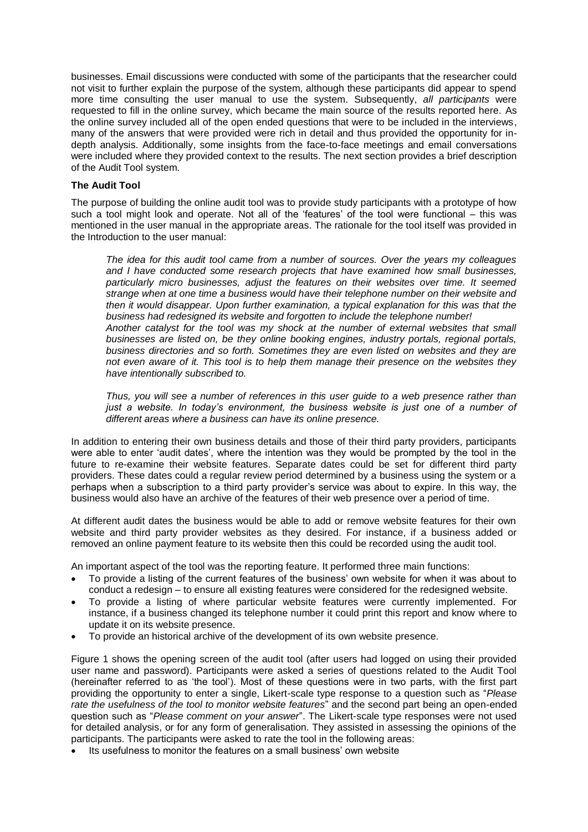businesses. Email discussions were conducted with some of the participants that the researcher could not visit to further explain the purpose of the system, although these participants did appear to spend more time consulting the user manual to use the system. Subsequently, *all participants* were requested to fill in the online survey, which became the main source of the results reported here. As the online survey included all of the open ended questions that were to be included in the interviews, many of the answers that were provided were rich in detail and thus provided the opportunity for indepth analysis. Additionally, some insights from the face-to-face meetings and email conversations were included where they provided context to the results. The next section provides a brief description of the Audit Tool system.

#### **The Audit Tool**

The purpose of building the online audit tool was to provide study participants with a prototype of how such a tool might look and operate. Not all of the 'features' of the tool were functional – this was mentioned in the user manual in the appropriate areas. The rationale for the tool itself was provided in the Introduction to the user manual:

*The idea for this audit tool came from a number of sources. Over the years my colleagues and I have conducted some research projects that have examined how small businesses, particularly micro businesses, adjust the features on their websites over time. It seemed strange when at one time a business would have their telephone number on their website and then it would disappear. Upon further examination, a typical explanation for this was that the business had redesigned its website and forgotten to include the telephone number! Another catalyst for the tool was my shock at the number of external websites that small businesses are listed on, be they online booking engines, industry portals, regional portals, business directories and so forth. Sometimes they are even listed on websites and they are not even aware of it. This tool is to help them manage their presence on the websites they have intentionally subscribed to.* 

*Thus, you will see a number of references in this user guide to a web presence rather than just a website. In today's environment, the business website is just one of a number of different areas where a business can have its online presence.*

In addition to entering their own business details and those of their third party providers, participants were able to enter 'audit dates', where the intention was they would be prompted by the tool in the future to re-examine their website features. Separate dates could be set for different third party providers. These dates could a regular review period determined by a business using the system or a perhaps when a subscription to a third party provider's service was about to expire. In this way, the business would also have an archive of the features of their web presence over a period of time.

At different audit dates the business would be able to add or remove website features for their own website and third party provider websites as they desired. For instance, if a business added or removed an online payment feature to its website then this could be recorded using the audit tool.

An important aspect of the tool was the reporting feature. It performed three main functions:

- To provide a listing of the current features of the business' own website for when it was about to conduct a redesign – to ensure all existing features were considered for the redesigned website.
- To provide a listing of where particular website features were currently implemented. For instance, if a business changed its telephone number it could print this report and know where to update it on its website presence.
- To provide an historical archive of the development of its own website presence.

Figure 1 shows the opening screen of the audit tool (after users had logged on using their provided user name and password). Participants were asked a series of questions related to the Audit Tool (hereinafter referred to as 'the tool'). Most of these questions were in two parts, with the first part providing the opportunity to enter a single, Likert-scale type response to a question such as "*Please rate the usefulness of the tool to monitor website features*" and the second part being an open-ended question such as "*Please comment on your answer*". The Likert-scale type responses were not used for detailed analysis, or for any form of generalisation. They assisted in assessing the opinions of the participants. The participants were asked to rate the tool in the following areas:

Its usefulness to monitor the features on a small business' own website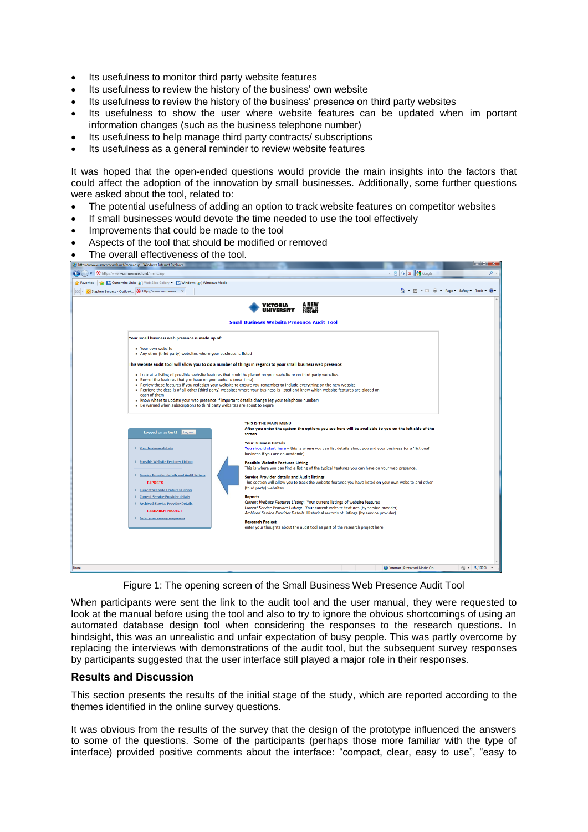- Its usefulness to monitor third party website features
- Its usefulness to review the history of the business' own website
- Its usefulness to review the history of the business' presence on third party websites
- Its usefulness to show the user where website features can be updated when im portant information changes (such as the business telephone number)
- Its usefulness to help manage third party contracts/ subscriptions
- Its usefulness as a general reminder to review website features

It was hoped that the open-ended questions would provide the main insights into the factors that could affect the adoption of the innovation by small businesses. Additionally, some further questions were asked about the tool, related to:

- The potential usefulness of adding an option to track website features on competitor websites
- If small businesses would devote the time needed to use the tool effectively
- Improvements that could be made to the tool
- Aspects of the tool that should be modified or removed
- The overall effectiveness of the tool.

|                   | http://www.vusmeresearch.net/menu.asp - Windows Internet Explorer                             |                                                                                                                                                               | كالمست                        |
|-------------------|-----------------------------------------------------------------------------------------------|---------------------------------------------------------------------------------------------------------------------------------------------------------------|-------------------------------|
|                   | http://www.vusmeresearch.net/menu.asp                                                         | $ \mathbb{R}$ $+$ $\times$ $\mathbb{R}$ Google                                                                                                                | ۔ م                           |
| <b>Exercities</b> | <b>E.</b> Customize Links <b>E</b> Web Slice Gallery <b>C.</b> Windows <b>E</b> Windows Media |                                                                                                                                                               |                               |
|                   | 88 . O Stephen Burgess - Outlook . He http://www.vusmerese X                                  | ៉ - ស<br>$\tau$ $\equiv$ $\approx$                                                                                                                            | * Page * Safety * Tools * @   |
|                   |                                                                                               | A NEW<br><b>VICTORIA</b>                                                                                                                                      |                               |
|                   |                                                                                               | SCHOOL OF<br>THOUGHT<br><b>UNIVERSITY</b>                                                                                                                     |                               |
|                   |                                                                                               | <b>Small Business Website Presence Audit Tool</b>                                                                                                             |                               |
|                   |                                                                                               |                                                                                                                                                               |                               |
|                   | Your small business web presence is made up of:                                               |                                                                                                                                                               |                               |
|                   | " Your own website                                                                            |                                                                                                                                                               |                               |
|                   | Any other (third party) websites where your business is listed                                |                                                                                                                                                               |                               |
|                   |                                                                                               | This website audit tool will allow you to do a number of things in regards to your small business web presence:                                               |                               |
|                   |                                                                                               | . Look at a listing of possible website features that could be placed on your website or on third party websites                                              |                               |
|                   | Record the features that you have on your website (over time)                                 | Review these features if you redesign your website to ensure you remember to include everything on the new website                                            |                               |
|                   | each of them                                                                                  | Retrieve the details of all other (third party) websites where your business is listed and know which website features are placed on                          |                               |
|                   |                                                                                               | Know where to update your web presence if important details change (eg your telephone number)                                                                 |                               |
|                   | . Be warned when subscriptions to third party websites are about to expire                    |                                                                                                                                                               |                               |
|                   |                                                                                               |                                                                                                                                                               |                               |
|                   |                                                                                               | THIS IS THE MAIN MENU<br>After you enter the system the options you see here will be available to you on the left side of the                                 |                               |
|                   | Logged on as test1 Log out                                                                    | screen                                                                                                                                                        |                               |
|                   | > Your business details                                                                       | <b>Your Business Details</b><br>You should start here - this is where you can list details about you and your business (or a 'fictional'                      |                               |
|                   |                                                                                               | business if you are an academic)                                                                                                                              |                               |
|                   | > Possible Website Features Listing                                                           | <b>Possible Website Features Listing</b>                                                                                                                      |                               |
|                   | > Service Provider details and Audit listings                                                 | This is where you can find a listing of the typical features you can have on your web presence.                                                               |                               |
|                   | <b>REPORTS -------</b>                                                                        | <b>Service Provider details and Audit listings</b><br>This section will allow you to track the website features you have listed on your own website and other |                               |
|                   | > Current Website Features Listing                                                            | (third party) websites                                                                                                                                        |                               |
|                   | > Current Service Provider details                                                            | <b>Reports</b><br>Current Website Features Listing: Your current listings of website features                                                                 |                               |
|                   | > Archived Service Provider Details<br>------- RESEARCH PROJECT ------                        | Current Service Provider Listing: Your current website features (by service provider)                                                                         |                               |
|                   | > Enter your survey responses                                                                 | Archived Service Provider Details: Historical records of listings (by service provider)                                                                       |                               |
|                   |                                                                                               | <b>Research Project</b><br>enter your thoughts about the audit tool as part of the research project here                                                      |                               |
|                   |                                                                                               |                                                                                                                                                               |                               |
|                   |                                                                                               |                                                                                                                                                               |                               |
|                   |                                                                                               |                                                                                                                                                               |                               |
|                   |                                                                                               |                                                                                                                                                               |                               |
| Done              |                                                                                               | Internet   Protected Mode: On                                                                                                                                 | $\frac{1}{4}$ $\sqrt{2}$ 100% |

Figure 1: The opening screen of the Small Business Web Presence Audit Tool

When participants were sent the link to the audit tool and the user manual, they were requested to look at the manual before using the tool and also to try to ignore the obvious shortcomings of using an automated database design tool when considering the responses to the research questions. In hindsight, this was an unrealistic and unfair expectation of busy people. This was partly overcome by replacing the interviews with demonstrations of the audit tool, but the subsequent survey responses by participants suggested that the user interface still played a major role in their responses.

#### **Results and Discussion**

This section presents the results of the initial stage of the study, which are reported according to the themes identified in the online survey questions.

It was obvious from the results of the survey that the design of the prototype influenced the answers to some of the questions. Some of the participants (perhaps those more familiar with the type of interface) provided positive comments about the interface: "compact, clear, easy to use", "easy to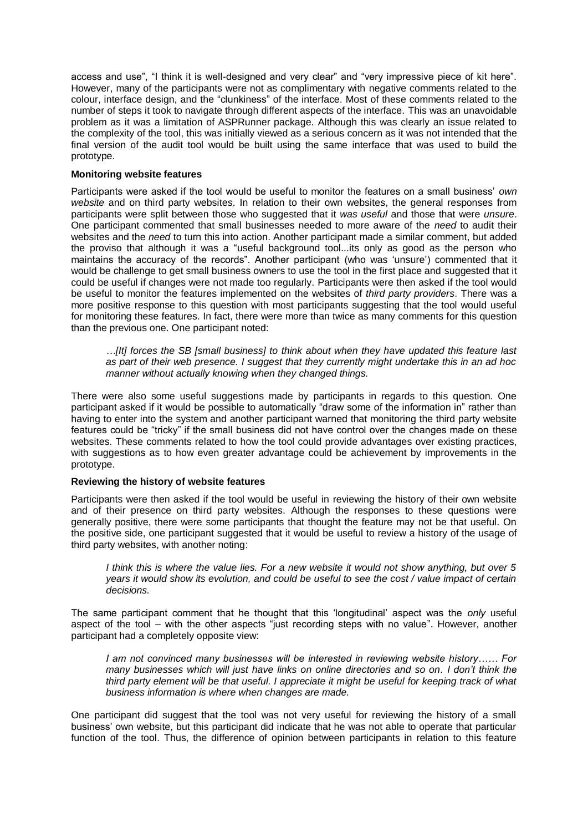access and use", "I think it is well-designed and very clear" and "very impressive piece of kit here". However, many of the participants were not as complimentary with negative comments related to the colour, interface design, and the "clunkiness" of the interface. Most of these comments related to the number of steps it took to navigate through different aspects of the interface. This was an unavoidable problem as it was a limitation of ASPRunner package. Although this was clearly an issue related to the complexity of the tool, this was initially viewed as a serious concern as it was not intended that the final version of the audit tool would be built using the same interface that was used to build the prototype.

#### **Monitoring website features**

Participants were asked if the tool would be useful to monitor the features on a small business' *own website* and on third party websites. In relation to their own websites, the general responses from participants were split between those who suggested that it *was useful* and those that were *unsure*. One participant commented that small businesses needed to more aware of the *need* to audit their websites and the *need* to turn this into action. Another participant made a similar comment, but added the proviso that although it was a "useful background tool...its only as good as the person who maintains the accuracy of the records". Another participant (who was 'unsure') commented that it would be challenge to get small business owners to use the tool in the first place and suggested that it could be useful if changes were not made too regularly. Participants were then asked if the tool would be useful to monitor the features implemented on the websites of *third party providers*. There was a more positive response to this question with most participants suggesting that the tool would useful for monitoring these features. In fact, there were more than twice as many comments for this question than the previous one. One participant noted:

*…[It] forces the SB [small business] to think about when they have updated this feature last as part of their web presence. I suggest that they currently might undertake this in an ad hoc manner without actually knowing when they changed things.*

There were also some useful suggestions made by participants in regards to this question. One participant asked if it would be possible to automatically "draw some of the information in" rather than having to enter into the system and another participant warned that monitoring the third party website features could be "tricky" if the small business did not have control over the changes made on these websites. These comments related to how the tool could provide advantages over existing practices, with suggestions as to how even greater advantage could be achievement by improvements in the prototype.

#### **Reviewing the history of website features**

Participants were then asked if the tool would be useful in reviewing the history of their own website and of their presence on third party websites. Although the responses to these questions were generally positive, there were some participants that thought the feature may not be that useful. On the positive side, one participant suggested that it would be useful to review a history of the usage of third party websites, with another noting:

*I think this is where the value lies. For a new website it would not show anything, but over 5 years it would show its evolution, and could be useful to see the cost / value impact of certain decisions.*

The same participant comment that he thought that this 'longitudinal' aspect was the *only* useful aspect of the tool – with the other aspects "just recording steps with no value". However, another participant had a completely opposite view:

*I am not convinced many businesses will be interested in reviewing website history…… For many businesses which will just have links on online directories and so on. I don't think the third party element will be that useful. I appreciate it might be useful for keeping track of what business information is where when changes are made.* 

One participant did suggest that the tool was not very useful for reviewing the history of a small business' own website, but this participant did indicate that he was not able to operate that particular function of the tool. Thus, the difference of opinion between participants in relation to this feature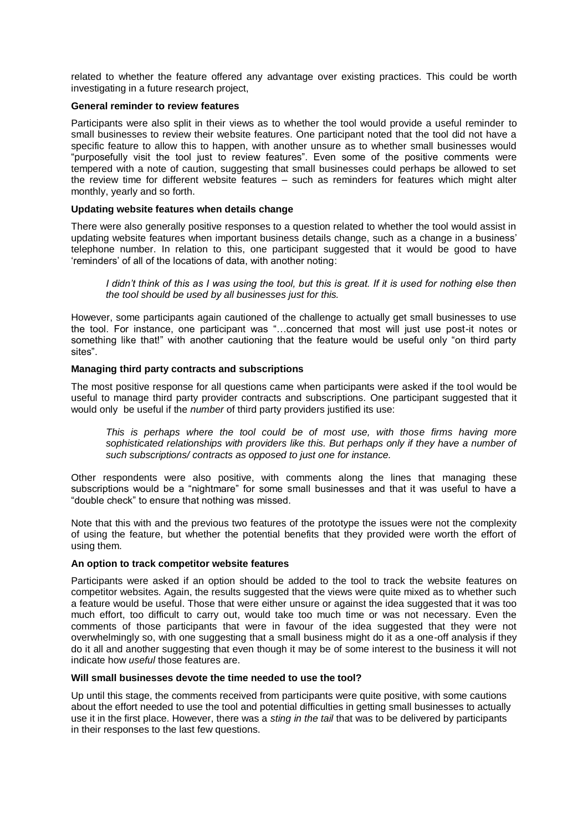related to whether the feature offered any advantage over existing practices. This could be worth investigating in a future research project,

#### **General reminder to review features**

Participants were also split in their views as to whether the tool would provide a useful reminder to small businesses to review their website features. One participant noted that the tool did not have a specific feature to allow this to happen, with another unsure as to whether small businesses would "purposefully visit the tool just to review features". Even some of the positive comments were tempered with a note of caution, suggesting that small businesses could perhaps be allowed to set the review time for different website features – such as reminders for features which might alter monthly, yearly and so forth.

#### **Updating website features when details change**

There were also generally positive responses to a question related to whether the tool would assist in updating website features when important business details change, such as a change in a business' telephone number. In relation to this, one participant suggested that it would be good to have 'reminders' of all of the locations of data, with another noting:

*I didn't think of this as I was using the tool, but this is great. If it is used for nothing else then the tool should be used by all businesses just for this.*

However, some participants again cautioned of the challenge to actually get small businesses to use the tool. For instance, one participant was "…concerned that most will just use post-it notes or something like that!" with another cautioning that the feature would be useful only "on third party sites".

#### **Managing third party contracts and subscriptions**

The most positive response for all questions came when participants were asked if the tool would be useful to manage third party provider contracts and subscriptions. One participant suggested that it would only be useful if the *number* of third party providers justified its use:

*This is perhaps where the tool could be of most use, with those firms having more*  sophisticated relationships with providers like this. But perhaps only if they have a number of *such subscriptions/ contracts as opposed to just one for instance.*

Other respondents were also positive, with comments along the lines that managing these subscriptions would be a "nightmare" for some small businesses and that it was useful to have a "double check" to ensure that nothing was missed.

Note that this with and the previous two features of the prototype the issues were not the complexity of using the feature, but whether the potential benefits that they provided were worth the effort of using them.

#### **An option to track competitor website features**

Participants were asked if an option should be added to the tool to track the website features on competitor websites. Again, the results suggested that the views were quite mixed as to whether such a feature would be useful. Those that were either unsure or against the idea suggested that it was too much effort, too difficult to carry out, would take too much time or was not necessary. Even the comments of those participants that were in favour of the idea suggested that they were not overwhelmingly so, with one suggesting that a small business might do it as a one-off analysis if they do it all and another suggesting that even though it may be of some interest to the business it will not indicate how *useful* those features are.

# **Will small businesses devote the time needed to use the tool?**

Up until this stage, the comments received from participants were quite positive, with some cautions about the effort needed to use the tool and potential difficulties in getting small businesses to actually use it in the first place. However, there was a *sting in the tail* that was to be delivered by participants in their responses to the last few questions.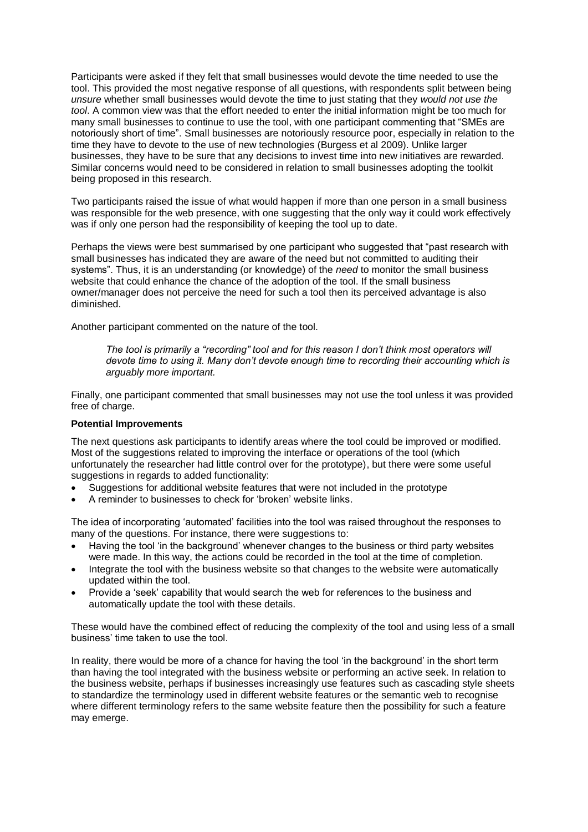Participants were asked if they felt that small businesses would devote the time needed to use the tool. This provided the most negative response of all questions, with respondents split between being *unsure* whether small businesses would devote the time to just stating that they *would not use the tool*. A common view was that the effort needed to enter the initial information might be too much for many small businesses to continue to use the tool, with one participant commenting that "SMEs are notoriously short of time". Small businesses are notoriously resource poor, especially in relation to the time they have to devote to the use of new technologies (Burgess et al 2009). Unlike larger businesses, they have to be sure that any decisions to invest time into new initiatives are rewarded. Similar concerns would need to be considered in relation to small businesses adopting the toolkit being proposed in this research.

Two participants raised the issue of what would happen if more than one person in a small business was responsible for the web presence, with one suggesting that the only way it could work effectively was if only one person had the responsibility of keeping the tool up to date.

Perhaps the views were best summarised by one participant who suggested that "past research with small businesses has indicated they are aware of the need but not committed to auditing their systems". Thus, it is an understanding (or knowledge) of the *need* to monitor the small business website that could enhance the chance of the adoption of the tool. If the small business owner/manager does not perceive the need for such a tool then its perceived advantage is also diminished.

Another participant commented on the nature of the tool.

*The tool is primarily a "recording" tool and for this reason I don't think most operators will devote time to using it. Many don't devote enough time to recording their accounting which is arguably more important.* 

Finally, one participant commented that small businesses may not use the tool unless it was provided free of charge.

#### **Potential Improvements**

The next questions ask participants to identify areas where the tool could be improved or modified. Most of the suggestions related to improving the interface or operations of the tool (which unfortunately the researcher had little control over for the prototype), but there were some useful suggestions in regards to added functionality:

- Suggestions for additional website features that were not included in the prototype
- A reminder to businesses to check for 'broken' website links.

The idea of incorporating 'automated' facilities into the tool was raised throughout the responses to many of the questions. For instance, there were suggestions to:

- Having the tool 'in the background' whenever changes to the business or third party websites were made. In this way, the actions could be recorded in the tool at the time of completion.
- Integrate the tool with the business website so that changes to the website were automatically updated within the tool.
- Provide a 'seek' capability that would search the web for references to the business and automatically update the tool with these details.

These would have the combined effect of reducing the complexity of the tool and using less of a small business' time taken to use the tool.

In reality, there would be more of a chance for having the tool 'in the background' in the short term than having the tool integrated with the business website or performing an active seek. In relation to the business website, perhaps if businesses increasingly use features such as cascading style sheets to standardize the terminology used in different website features or the semantic web to recognise where different terminology refers to the same website feature then the possibility for such a feature may emerge.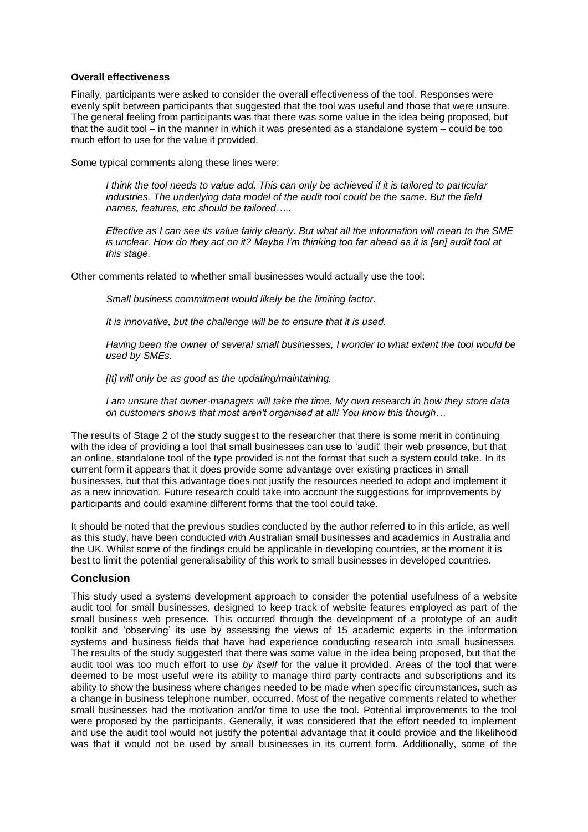#### **Overall effectiveness**

Finally, participants were asked to consider the overall effectiveness of the tool. Responses were evenly split between participants that suggested that the tool was useful and those that were unsure. The general feeling from participants was that there was some value in the idea being proposed, but that the audit tool – in the manner in which it was presented as a standalone system – could be too much effort to use for the value it provided.

Some typical comments along these lines were:

*I think the tool needs to value add. This can only be achieved if it is tailored to particular industries. The underlying data model of the audit tool could be the same. But the field names, features, etc should be tailored…..*

*Effective as I can see its value fairly clearly. But what all the information will mean to the SME is unclear. How do they act on it? Maybe I'm thinking too far ahead as it is [an] audit tool at this stage.*

Other comments related to whether small businesses would actually use the tool:

*Small business commitment would likely be the limiting factor.*

*It is innovative, but the challenge will be to ensure that it is used.*

*Having been the owner of several small businesses, I wonder to what extent the tool would be used by SMEs.*

*[It] will only be as good as the updating/maintaining.*

*I am unsure that owner-managers will take the time. My own research in how they store data on customers shows that most aren't organised at all! You know this though…*

The results of Stage 2 of the study suggest to the researcher that there is some merit in continuing with the idea of providing a tool that small businesses can use to 'audit' their web presence, but that an online, standalone tool of the type provided is not the format that such a system could take. In its current form it appears that it does provide some advantage over existing practices in small businesses, but that this advantage does not justify the resources needed to adopt and implement it as a new innovation. Future research could take into account the suggestions for improvements by participants and could examine different forms that the tool could take.

It should be noted that the previous studies conducted by the author referred to in this article, as well as this study, have been conducted with Australian small businesses and academics in Australia and the UK. Whilst some of the findings could be applicable in developing countries, at the moment it is best to limit the potential generalisability of this work to small businesses in developed countries.

# **Conclusion**

This study used a systems development approach to consider the potential usefulness of a website audit tool for small businesses, designed to keep track of website features employed as part of the small business web presence. This occurred through the development of a prototype of an audit toolkit and 'observing' its use by assessing the views of 15 academic experts in the information systems and business fields that have had experience conducting research into small businesses. The results of the study suggested that there was some value in the idea being proposed, but that the audit tool was too much effort to use *by itself* for the value it provided. Areas of the tool that were deemed to be most useful were its ability to manage third party contracts and subscriptions and its ability to show the business where changes needed to be made when specific circumstances, such as a change in business telephone number, occurred. Most of the negative comments related to whether small businesses had the motivation and/or time to use the tool. Potential improvements to the tool were proposed by the participants. Generally, it was considered that the effort needed to implement and use the audit tool would not justify the potential advantage that it could provide and the likelihood was that it would not be used by small businesses in its current form. Additionally, some of the